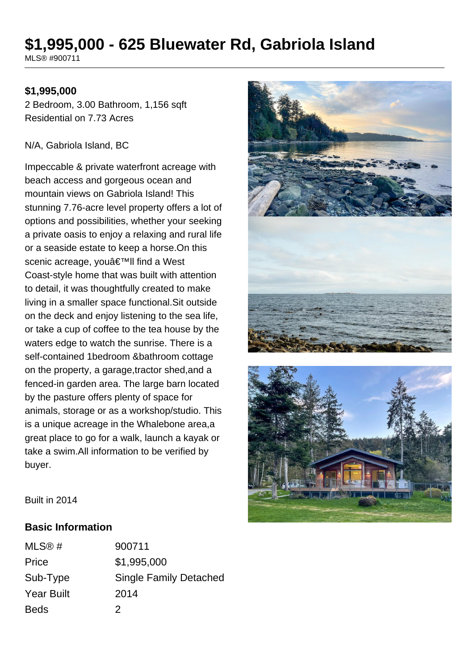# **\$1,995,000 - 625 Bluewater Rd, Gabriola Island**

MLS® #900711

#### **\$1,995,000**

2 Bedroom, 3.00 Bathroom, 1,156 sqft Residential on 7.73 Acres

#### N/A, Gabriola Island, BC

Impeccable & private waterfront acreage with beach access and gorgeous ocean and mountain views on Gabriola Island! This stunning 7.76-acre level property offers a lot of options and possibilities, whether your seeking a private oasis to enjoy a relaxing and rural life or a seaside estate to keep a horse.On this scenic acreage, you'll find a West Coast-style home that was built with attention to detail, it was thoughtfully created to make living in a smaller space functional.Sit outside on the deck and enjoy listening to the sea life, or take a cup of coffee to the tea house by the waters edge to watch the sunrise. There is a self-contained 1bedroom &bathroom cottage on the property, a garage,tractor shed,and a fenced-in garden area. The large barn located by the pasture offers plenty of space for animals, storage or as a workshop/studio. This is a unique acreage in the Whalebone area,a great place to go for a walk, launch a kayak or take a swim.All information to be verified by buyer.





Built in 2014

#### **Basic Information**

| MLS@#             | 900711                        |
|-------------------|-------------------------------|
| Price             | \$1,995,000                   |
| Sub-Type          | <b>Single Family Detached</b> |
| <b>Year Built</b> | 2014                          |
| <b>Beds</b>       | 2                             |